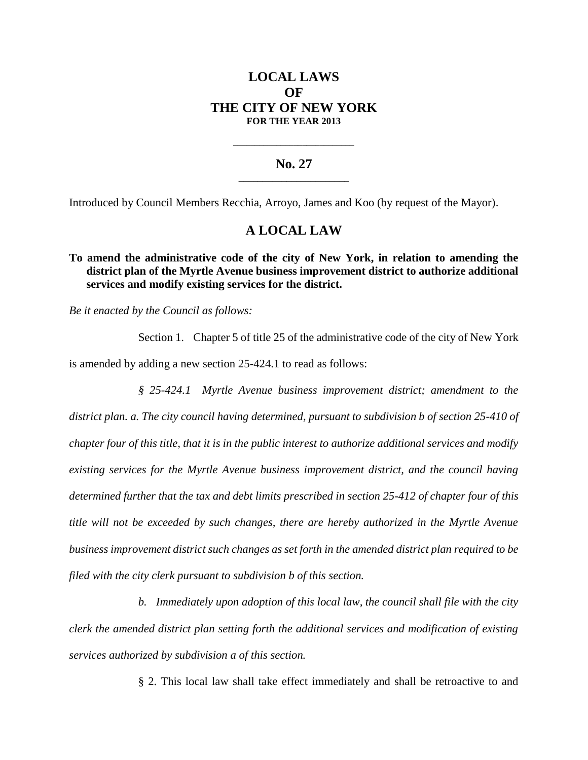# **LOCAL LAWS OF THE CITY OF NEW YORK FOR THE YEAR 2013**

### **No. 27 \_\_\_\_\_\_\_\_\_\_\_\_\_\_\_\_\_\_\_\_\_\_\_**

**\_\_\_\_\_\_\_\_\_\_\_\_\_\_\_\_\_\_\_\_\_\_\_\_\_\_\_\_**

Introduced by Council Members Recchia, Arroyo, James and Koo (by request of the Mayor).

## **A LOCAL LAW**

## **To amend the administrative code of the city of New York, in relation to amending the district plan of the Myrtle Avenue business improvement district to authorize additional services and modify existing services for the district.**

*Be it enacted by the Council as follows:*

Section 1. Chapter 5 of title 25 of the administrative code of the city of New York is amended by adding a new section 25-424.1 to read as follows:

*§ 25-424.1 Myrtle Avenue business improvement district; amendment to the district plan. a. The city council having determined, pursuant to subdivision b of section 25-410 of chapter four of this title, that it is in the public interest to authorize additional services and modify existing services for the Myrtle Avenue business improvement district, and the council having determined further that the tax and debt limits prescribed in section 25-412 of chapter four of this title will not be exceeded by such changes, there are hereby authorized in the Myrtle Avenue business improvement district such changes as set forth in the amended district plan required to be filed with the city clerk pursuant to subdivision b of this section.*

*b. Immediately upon adoption of this local law, the council shall file with the city clerk the amended district plan setting forth the additional services and modification of existing services authorized by subdivision a of this section.*

§ 2. This local law shall take effect immediately and shall be retroactive to and